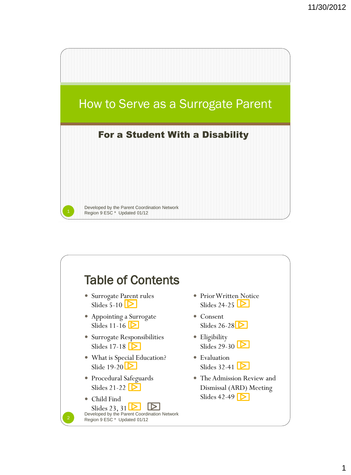

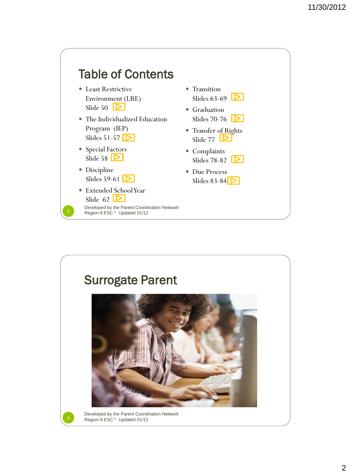

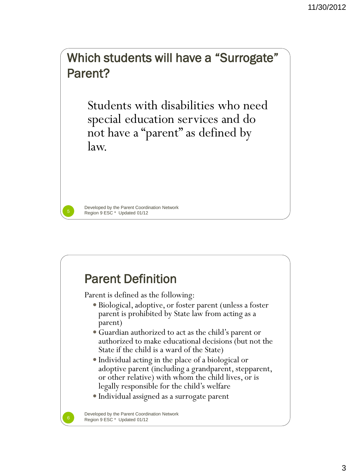Which students will have a "Surrogate" Parent?

Students with disabilities who need special education services and do not have a "parent" as defined by law.

<span id="page-2-0"></span>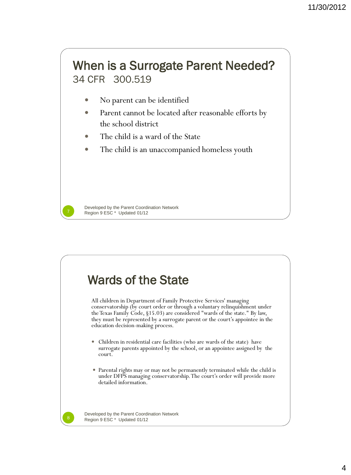#### When is a Surrogate Parent Needed? 34 CFR 300.519

- No parent can be identified
- Parent cannot be located after reasonable efforts by the school district
- The child is a ward of the State
- The child is an unaccompanied homeless youth

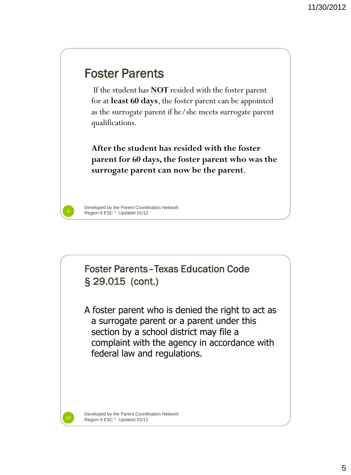## Foster Parents

If the student has **NOT** resided with the foster parent for at **least 60 days**, the foster parent can be appointed as the surrogate parent if he/she meets surrogate parent qualifications.

**After the student has resided with the foster parent for 60 days, the foster parent who was the surrogate parent can now be the parent**.

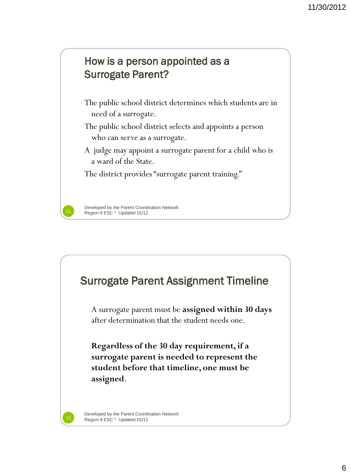

<span id="page-5-0"></span>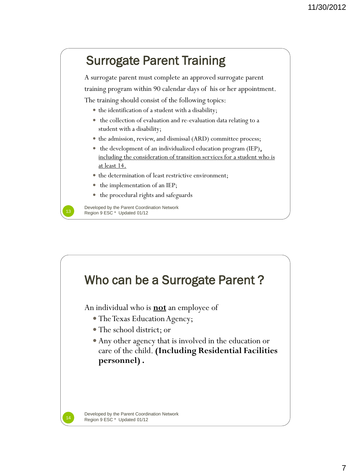

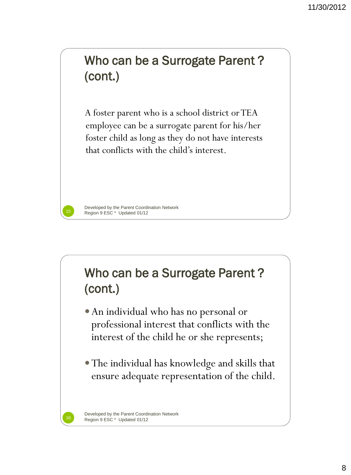# Who can be a Surrogate Parent ? (cont.)

A foster parent who is a school district or TEA employee can be a surrogate parent for his/her foster child as long as they do not have interests that conflicts with the child's interest.

```
Developed by the Parent Coordination Network
Region 9 ESC * Updated 01/12
```
# Who can be a Surrogate Parent ? (cont.)

- An individual who has no personal or professional interest that conflicts with the interest of the child he or she represents;
- The individual has knowledge and skills that ensure adequate representation of the child.

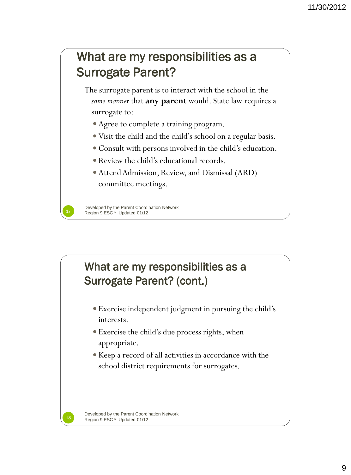# What are my responsibilities as a Surrogate Parent?

The surrogate parent is to interact with the school in the *same manner* that **any parent** would. State law requires a surrogate to:

- Agree to complete a training program.
- Visit the child and the child's school on a regular basis.
- Consult with persons involved in the child's education.
- Review the child's educational records.
- Attend Admission, Review, and Dismissal (ARD) committee meetings.

Developed by the Parent Coordination Network Region 9 ESC \* Updated 01/12

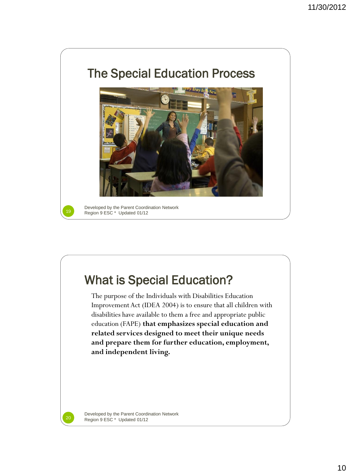

<span id="page-9-0"></span>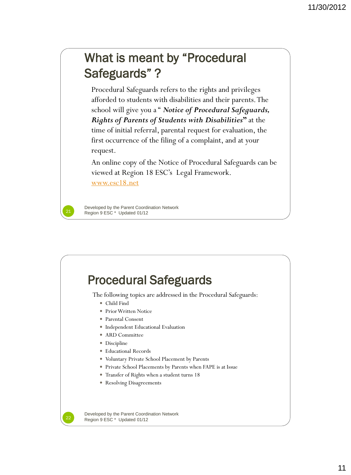# What is meant by "Procedural Safeguards" ?

Procedural Safeguards refers to the rights and privileges afforded to students with disabilities and their parents. The school will give you a ― *Notice of Procedural Safeguards, Rights of Parents of Students with Disabilities***"** at the time of initial referral, parental request for evaluation, the first occurrence of the filing of a complaint, and at your request.

An online copy of the Notice of Procedural Safeguards can be viewed at Region 18 ESC's Legal Framework.

[www.esc18.net](http://www.esc18.net/)

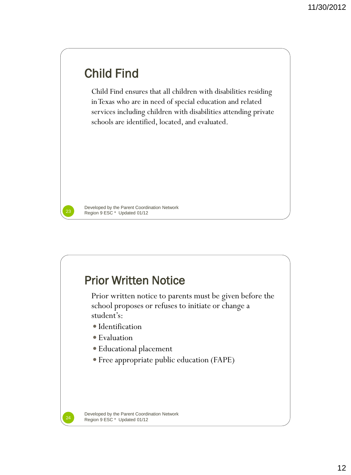# Child Find

Child Find ensures that all children with disabilities residing in Texas who are in need of special education and related services including children with disabilities attending private schools are identified, located, and evaluated.

Developed by the Parent Coordination Network Region 9 ESC \* Updated 01/12

#### Prior Written Notice

Prior written notice to parents must be given before the school proposes or refuses to initiate or change a student's:

- Identification
- Evaluation
- Educational placement
- <span id="page-11-0"></span>Free appropriate public education (FAPE)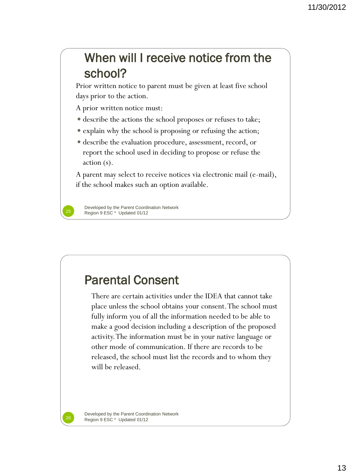## When will I receive notice from the school?

Prior written notice to parent must be given at least five school days prior to the action.

A prior written notice must:

- describe the actions the school proposes or refuses to take;
- explain why the school is proposing or refusing the action;
- describe the evaluation procedure, assessment, record, or report the school used in deciding to propose or refuse the action (s).

A parent may select to receive notices via electronic mail (e-mail), if the school makes such an option available.

Developed by the Parent Coordination Network Region 9 ESC \* Updated 01/12

#### Parental Consent

There are certain activities under the IDEA that cannot take place unless the school obtains your consent. The school must fully inform you of all the information needed to be able to make a good decision including a description of the proposed activity. The information must be in your native language or other mode of communication. If there are records to be released, the school must list the records and to whom they will be released.

<span id="page-12-0"></span>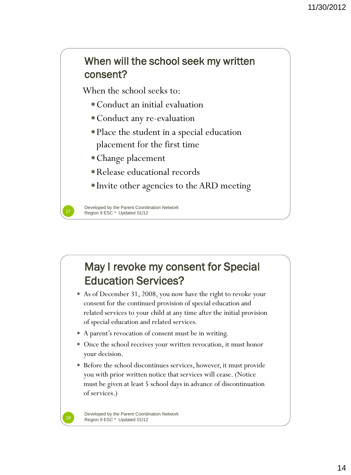#### When will the school seek my written consent?

When the school seeks to:

- Conduct an initial evaluation
- Conduct any re-evaluation
- Place the student in a special education placement for the first time
- Change placement
- Release educational records
- Invite other agencies to the ARD meeting

Developed by the Parent Coordination Network Region 9 ESC \* Updated 01/12

# May I revoke my consent for Special Education Services?

- As of December 31, 2008, you now have the right to revoke your consent for the continued provision of special education and related services to your child at any time after the initial provision of special education and related services.
- A parent's revocation of consent must be in writing.
- Once the school receives your written revocation, it must honor your decision.
- Before the school discontinues services, however, it must provide you with prior written notice that services will cease. (Notice must be given at least 5 school days in advance of discontinuation of services.)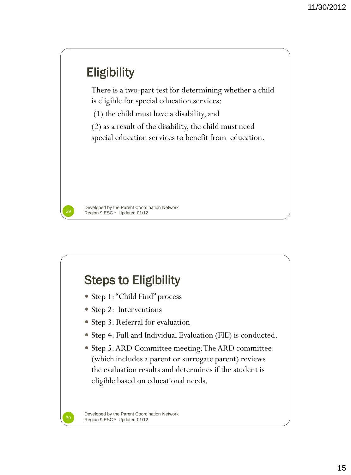# **Eligibility**

There is a two-part test for determining whether a child is eligible for special education services:

(1) the child must have a disability, and

(2) as a result of the disability, the child must need

special education services to benefit from education.

Developed by the Parent Coordination Network Region 9 ESC \* Updated 01/12

# Steps to Eligibility

- Step 1: "Child Find" process
- Step 2: Interventions
- Step 3: Referral for evaluation
- Step 4: Full and Individual Evaluation (FIE) is conducted.
- Step 5: ARD Committee meeting: The ARD committee (which includes a parent or surrogate parent) reviews the evaluation results and determines if the student is eligible based on educational needs.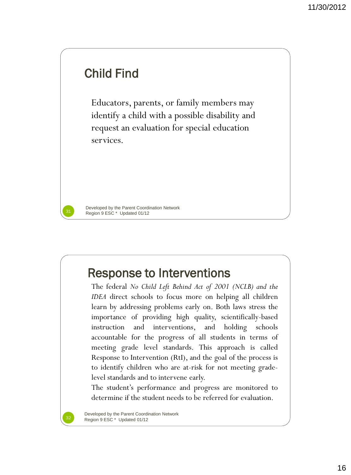# Child Find

Educators, parents, or family members may identify a child with a possible disability and request an evaluation for special education services.

Developed by the Parent Coordination Network Region 9 ESC \* Updated 01/12

Response to Interventions

The federal *No Child Left Behind Act of 2001 (NCLB) and the IDEA* direct schools to focus more on helping all children learn by addressing problems early on. Both laws stress the importance of providing high quality, scientifically-based instruction and interventions, and holding schools accountable for the progress of all students in terms of meeting grade level standards. This approach is called Response to Intervention (RtI), and the goal of the process is to identify children who are at-risk for not meeting gradelevel standards and to intervene early.

The student's performance and progress are monitored to determine if the student needs to be referred for evaluation.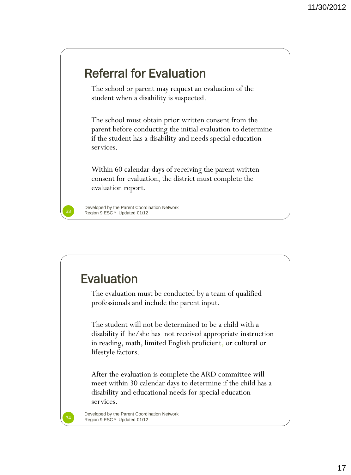### Referral for Evaluation

The school or parent may request an evaluation of the student when a disability is suspected.

The school must obtain prior written consent from the parent before conducting the initial evaluation to determine if the student has a disability and needs special education services.

Within 60 calendar days of receiving the parent written consent for evaluation, the district must complete the evaluation report.

Developed by the Parent Coordination Network Region 9 ESC \* Updated 01/12

## Evaluation

The evaluation must be conducted by a team of qualified professionals and include the parent input.

The student will not be determined to be a child with a disability if he/she has not received appropriate instruction in reading, math, limited English proficient, or cultural or lifestyle factors.

After the evaluation is complete the ARD committee will meet within 30 calendar days to determine if the child has a disability and educational needs for special education services.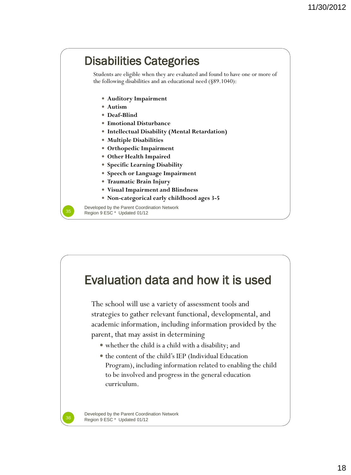

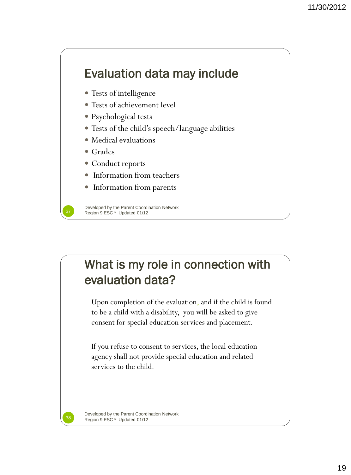# Evaluation data may include

- Tests of intelligence
- Tests of achievement level
- Psychological tests
- Tests of the child's speech/language abilities
- Medical evaluations
- Grades
- Conduct reports
- Information from teachers
- Information from parents

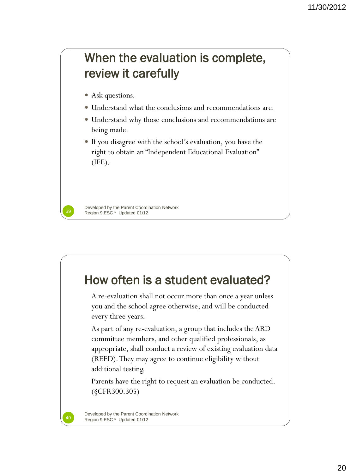# When the evaluation is complete, review it carefully

- Ask questions.
- Understand what the conclusions and recommendations are.
- Understand why those conclusions and recommendations are being made.

 If you disagree with the school's evaluation, you have the right to obtain an "Independent Educational Evaluation"  $(IEE).$ 

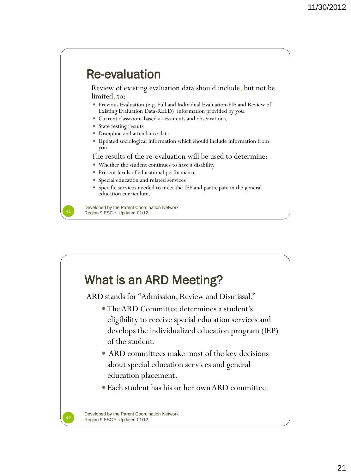# Re-evaluation

Review of existing evaluation data should include, but not be limited, to:

- Previous Evaluation (e.g. Full and Individual Evaluation-FIE and Review of Existing Evaluation Data-REED) information provided by you.
- Current classroom-based assessments and observations.
- State testing results
- Discipline and attendance data
- Updated sociological information which should include information from you.

The results of the re-evaluation will be used to determine:

- Whether the student continues to have a disability
- Present levels of educational performance
- Special education and related services
- Specific services needed to meet the IEP and participate in the general education curriculum.

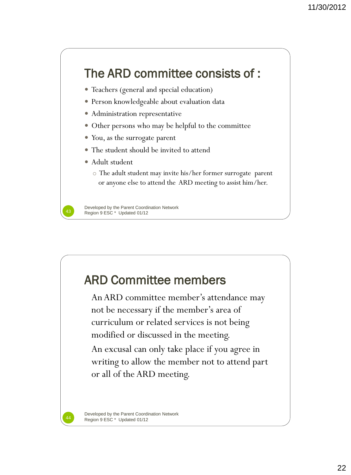

- Teachers (general and special education)
- Person knowledgeable about evaluation data
- Administration representative
- Other persons who may be helpful to the committee
- You, as the surrogate parent
- The student should be invited to attend
- Adult student
	- o The adult student may invite his/her former surrogate parent or anyone else to attend the ARD meeting to assist him/her.

Developed by the Parent Coordination Network Region 9 ESC \* Updated 01/12

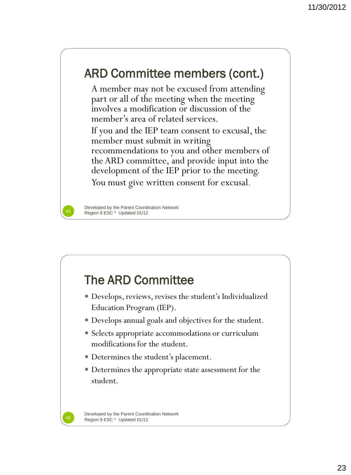## ARD Committee members (cont.)

A member may not be excused from attending part or all of the meeting when the meeting involves a modification or discussion of the member's area of related services. If you and the IEP team consent to excusal, the member must submit in writing recommendations to you and other members of the ARD committee, and provide input into the development of the IEP prior to the meeting.

You must give written consent for excusal.

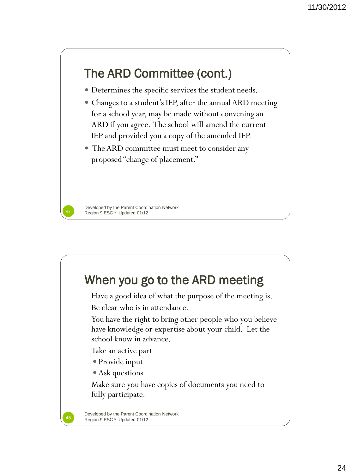

- Determines the specific services the student needs.
- Changes to a student's IEP, after the annual ARD meeting for a school year, may be made without convening an ARD if you agree. The school will amend the current IEP and provided you a copy of the amended IEP.
- The ARD committee must meet to consider any proposed "change of placement."

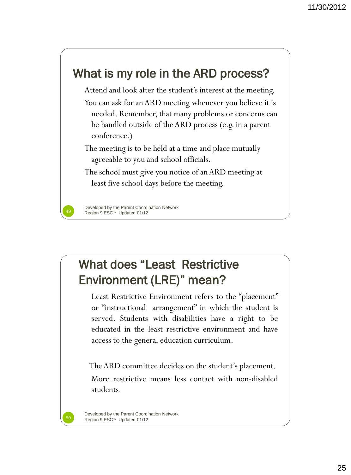# What is my role in the ARD process?

Attend and look after the student's interest at the meeting.

You can ask for an ARD meeting whenever you believe it is needed. Remember, that many problems or concerns can be handled outside of the ARD process (e.g. in a parent conference.)

The meeting is to be held at a time and place mutually agreeable to you and school officials.

The school must give you notice of an ARD meeting at least five school days before the meeting.

Developed by the Parent Coordination Network Region 9 ESC \* Updated 01/12

# What does "Least Restrictive Environment (LRE)" mean?

Least Restrictive Environment refers to the "placement" or "instructional arrangement" in which the student is served. Students with disabilities have a right to be educated in the least restrictive environment and have access to the general education curriculum.

<span id="page-24-0"></span>TheARD committee decides on the student's placement. More restrictive means less contact with non-disabled students.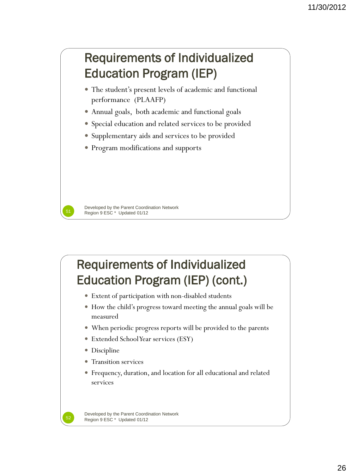

- The student's present levels of academic and functional performance (PLAAFP)
- Annual goals, both academic and functional goals
- Special education and related services to be provided
- Supplementary aids and services to be provided
- Program modifications and supports

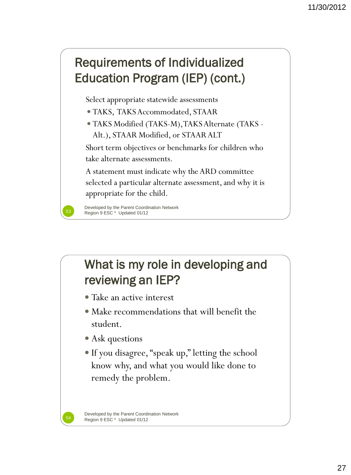

Select appropriate statewide assessments

- TAKS, TAKS Accommodated, STAAR
- TAKS Modified (TAKS-M), TAKS Alternate (TAKS Alt.), STAAR Modified, or STAAR ALT

Short term objectives or benchmarks for children who take alternate assessments.

A statement must indicate why the ARD committee selected a particular alternate assessment, and why it is appropriate for the child.

Developed by the Parent Coordination Network Region 9 ESC \* Updated 01/12

# What is my role in developing and reviewing an IEP?

- Take an active interest
- Make recommendations that will benefit the student.
- Ask questions
- If you disagree, "speak up," letting the school know why, and what you would like done to remedy the problem.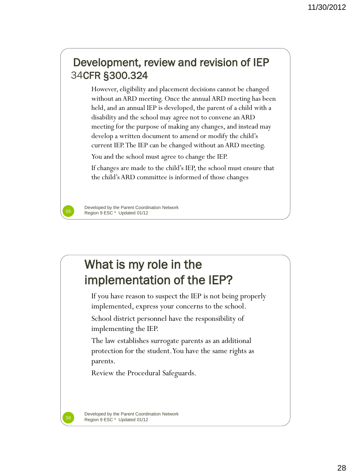#### Development, review and revision of IEP 34CFR §300.324

However, eligibility and placement decisions cannot be changed without an ARD meeting. Once the annual ARD meeting has been held, and an annual IEP is developed, the parent of a child with a disability and the school may agree not to convene an ARD meeting for the purpose of making any changes, and instead may develop a written document to amend or modify the child's current IEP. The IEP can be changed without an ARD meeting.

You and the school must agree to change the IEP.

If changes are made to the child's IEP, the school must ensure that the child's ARD committee is informed of those changes

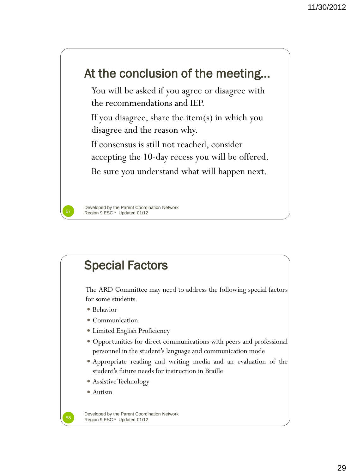## At the conclusion of the meeting…

You will be asked if you agree or disagree with the recommendations and IEP.

If you disagree, share the item(s) in which you disagree and the reason why.

If consensus is still not reached, consider accepting the 10-day recess you will be offered.

Be sure you understand what will happen next.

Developed by the Parent Coordination Network Region 9 ESC \* Updated 01/12

## Special Factors

The ARD Committee may need to address the following special factors for some students.

- Behavior
- Communication
- Limited English Proficiency
- Opportunities for direct communications with peers and professional personnel in the student's language and communication mode
- Appropriate reading and writing media and an evaluation of the student's future needs for instruction in Braille
- Assistive Technology
- <span id="page-28-0"></span>Autism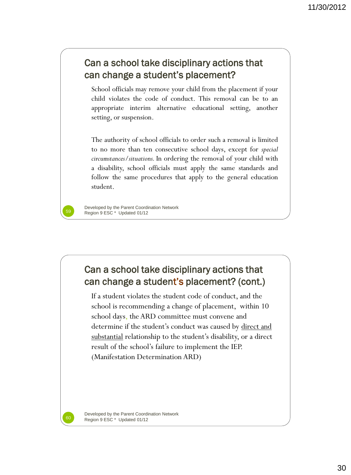#### Can a school take disciplinary actions that can change a student's placement?

School officials may remove your child from the placement if your child violates the code of conduct. This removal can be to an appropriate interim alternative educational setting, another setting, or suspension.

The authority of school officials to order such a removal is limited to no more than ten consecutive school days, except for *special circumstances/situations.* In ordering the removal of your child with a disability, school officials must apply the same standards and follow the same procedures that apply to the general education student.

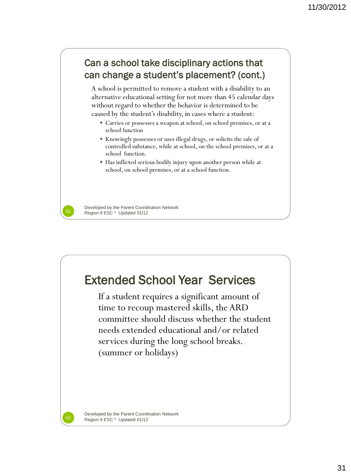#### Can a school take disciplinary actions that can change a student's placement? (cont.)

A school is permitted to remove a student with a disability to an alternative educational setting for not more than 45 calendar days without regard to whether the behavior is determined to be caused by the student's disability, in cases where a student:

- Carries or possesses a weapon at school, on school premises, or at a school function
- Knowingly possesses or uses illegal drugs, or solicits the sale of controlled substance, while at school, on the school premises, or at a school function.
- Has inflicted serious bodily injury upon another person while at school, on school premises, or at a school function.

<span id="page-30-0"></span>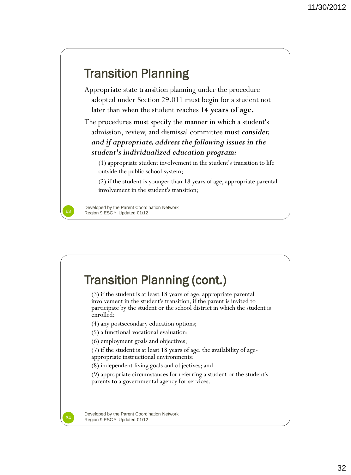## Transition Planning

Appropriate state transition planning under the procedure adopted under Section 29.011 must begin for a student not later than when the student reaches **14 years of age.** 

The procedures must specify the manner in which a student's admission, review, and dismissal committee must *consider, and if appropriate, address the following issues in the student's individualized education program:* 

(1) appropriate student involvement in the student's transition to life outside the public school system;

(2) if the student is younger than 18 years of age, appropriate parental involvement in the student's transition;

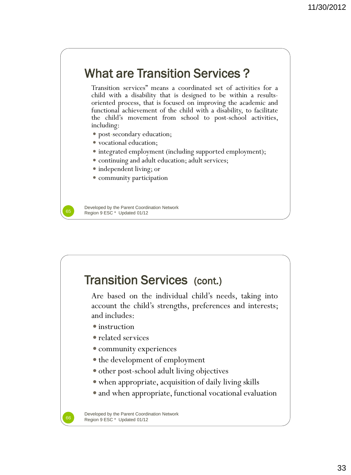## What are Transition Services ?

Transition services‖ means a coordinated set of activities for a child with a disability that is designed to be within a resultsoriented process, that is focused on improving the academic and functional achievement of the child with a disability, to facilitate the child's movement from school to post-school activities, including:

- post-secondary education;
- vocational education;
- integrated employment (including supported employment);
- continuing and adult education; adult services;
- independent living; or
- community participation

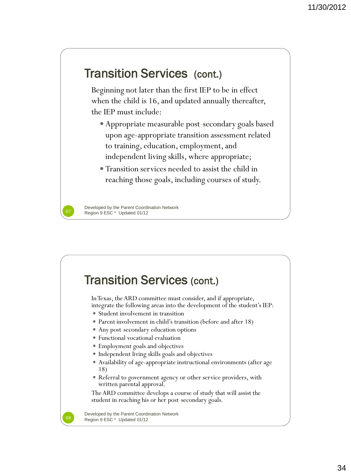#### Transition Services (cont.)

Beginning not later than the first IEP to be in effect when the child is 16, and updated annually thereafter, the IEP must include:

- Appropriate measurable post-secondary goals based upon age-appropriate transition assessment related to training, education, employment, and independent living skills, where appropriate;
- Transition services needed to assist the child in reaching those goals, including courses of study.

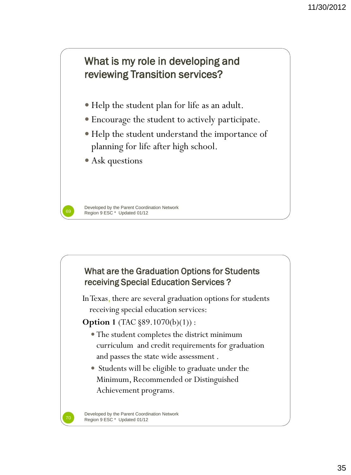

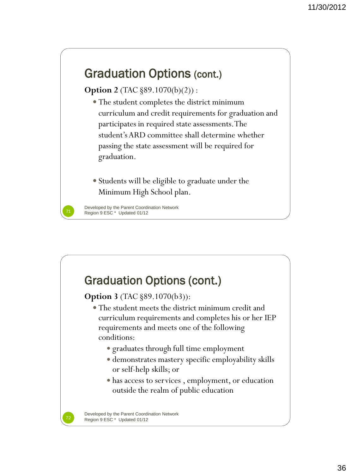## Graduation Options (cont.)

**Option 2** (TAC §89.1070(b)(2)) :

- The student completes the district minimum curriculum and credit requirements for graduation and participates in required state assessments. The student's ARD committee shall determine whether passing the state assessment will be required for graduation.
- Students will be eligible to graduate under the Minimum High School plan.

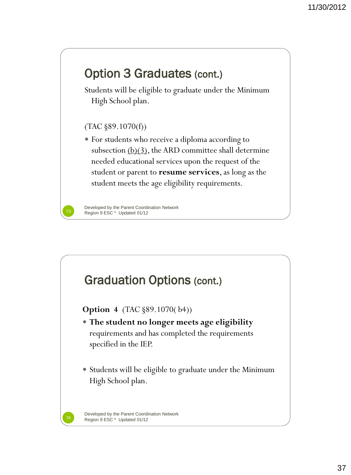## Option 3 Graduates (cont.)

Students will be eligible to graduate under the Minimum High School plan.

#### $(TAC \S 89.1070(f))$

 For students who receive a diploma according to subsection  $(b)(3)$ , the ARD committee shall determine needed educational services upon the request of the student or parent to **resume services**, as long as the student meets the age eligibility requirements.

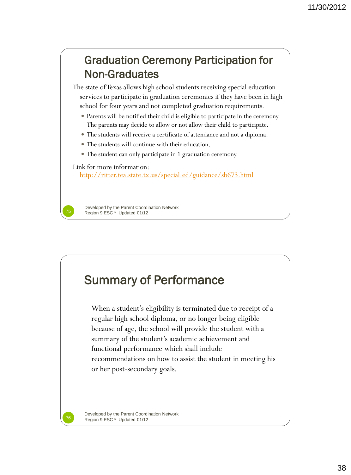#### Graduation Ceremony Participation for Non-Graduates

The state of Texas allows high school students receiving special education services to participate in graduation ceremonies if they have been in high school for four years and not completed graduation requirements.

- Parents will be notified their child is eligible to participate in the ceremony. The parents may decide to allow or not allow their child to participate.
- The students will receive a certificate of attendance and not a diploma.
- The students will continue with their education.
- The student can only participate in 1 graduation ceremony.

#### Link for more information:

<http://ritter.tea.state.tx.us/special.ed/guidance/sb673.html>

Developed by the Parent Coordination Network Region 9 ESC \* Updated 01/12

# Summary of Performance

When a student's eligibility is terminated due to receipt of a regular high school diploma, or no longer being eligible because of age, the school will provide the student with a summary of the student's academic achievement and functional performance which shall include recommendations on how to assist the student in meeting his or her post-secondary goals.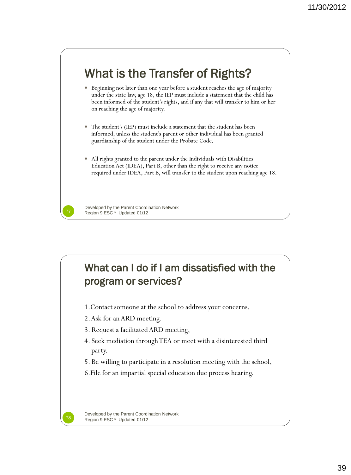

<span id="page-38-0"></span>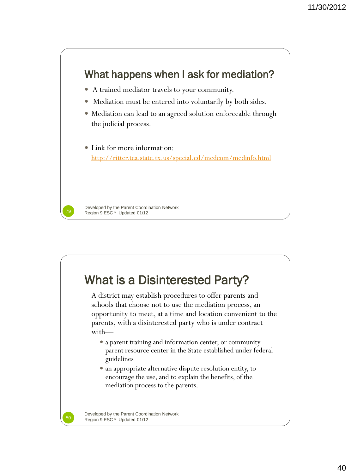

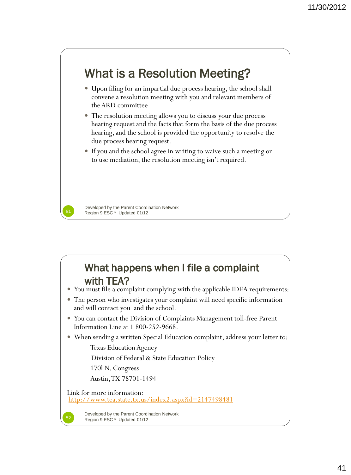

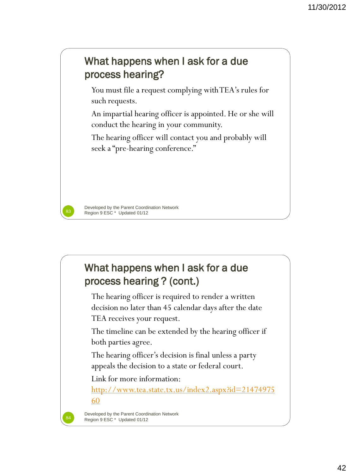#### What happens when I ask for a due process hearing?

You must file a request complying with TEA's rules for such requests.

An impartial hearing officer is appointed. He or she will conduct the hearing in your community.

The hearing officer will contact you and probably will seek a "pre-hearing conference."